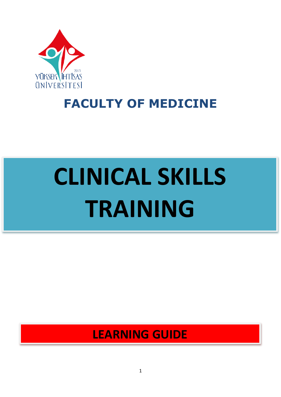

# **FACULTY OF MEDICINE**

# **CLINICAL SKILLS TRAINING**

# **LEARNING GUIDE**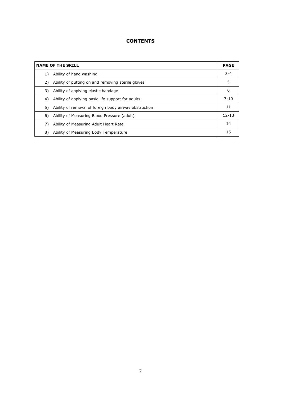#### **CONTENTS**

| <b>NAME OF THE SKILL</b>                                    |           |
|-------------------------------------------------------------|-----------|
| Ability of hand washing<br>1)                               | $3 - 4$   |
| Ability of putting on and removing sterile gloves<br>2)     | 5         |
| Ability of applying elastic bandage<br>3)                   | 6         |
| Ability of applying basic life support for adults<br>4)     | $7 - 10$  |
| Ability of removal of foreign body airway obstruction<br>5) | 11        |
| 6)<br>Ability of Measuring Blood Pressure (adult)           | $12 - 13$ |
| 7)<br>Ability of Measuring Adult Heart Rate                 | 14        |
| 8)<br>Ability of Measuring Body Temperature                 | 15        |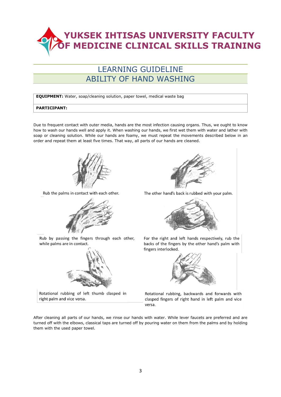#### LEARNING GUIDELINE ABILITY OF HAND WASHING

**EQUIPMENT:** Water, soap/cleaning solution, paper towel, medical waste bag

#### **PARTICIPANT:**

Due to frequent contact with outer media, hands are the most infection causing organs. Thus, we ought to know how to wash our hands well and apply it. When washing our hands, we first wet them with water and lather with soap or cleaning solution. While our hands are foamy, we must repeat the movements described below in an order and repeat them at least five times. That way, all parts of our hands are cleaned.



Rub the palms in contact with each other.



Rub by passing the fingers through each other, while palms are in contact.



Rotational rubbing of left thumb clasped in right palm and vice versa.



The other hand's back is rubbed with your palm.



For the right and left hands respectively, rub the backs of the fingers by the other hand's palm with fingers interlocked.



Rotational rubbing, backwards and forwards with clasped fingers of right hand in left palm and vice versa.

After cleaning all parts of our hands, we rinse our hands with water. While lever faucets are preferred and are turned off with the elbows, classical taps are turned off by pouring water on them from the palms and by holding them with the used paper towel.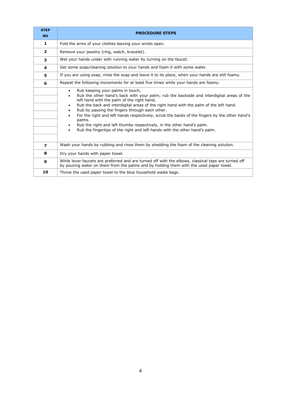| <b>STEP</b><br><b>NO</b> | <b>PROCEDURE STEPS</b>                                                                                                                                                                                                                                                                                                                                                                                                                                                                                                                                                                                                                   |
|--------------------------|------------------------------------------------------------------------------------------------------------------------------------------------------------------------------------------------------------------------------------------------------------------------------------------------------------------------------------------------------------------------------------------------------------------------------------------------------------------------------------------------------------------------------------------------------------------------------------------------------------------------------------------|
| 1                        | Fold the arms of your clothes leaving your wrists open.                                                                                                                                                                                                                                                                                                                                                                                                                                                                                                                                                                                  |
| $\overline{2}$           | Remove your jewelry (ring, watch, bracelet).                                                                                                                                                                                                                                                                                                                                                                                                                                                                                                                                                                                             |
| 3                        | Wet your hands under with running water by turning on the faucet.                                                                                                                                                                                                                                                                                                                                                                                                                                                                                                                                                                        |
| 4                        | Get some soap/cleaning solution to your hands and foam it with some water.                                                                                                                                                                                                                                                                                                                                                                                                                                                                                                                                                               |
| 5                        | If you are using soap, rinse the soap and leave it to its place, when your hands are still foamy.                                                                                                                                                                                                                                                                                                                                                                                                                                                                                                                                        |
| 6                        | Repeat the following movements for at least five times while your hands are foamy.                                                                                                                                                                                                                                                                                                                                                                                                                                                                                                                                                       |
|                          | Rub keeping your palms in touch,<br>$\bullet$<br>Rub the other hand's back with your palm; rub the backside and interdigital areas of the<br>٠<br>left hand with the palm of the right hand,<br>Rub the back and interdigital areas of the right hand with the palm of the left hand.<br>٠<br>Rub by passing the fingers through each other.<br>$\bullet$<br>For the right and left hands respectively, scrub the backs of the fingers by the other hand's<br>palms.<br>Rub the right and left thumbs respectively, in the other hand's palm.<br>Rub the fingertips of the right and left hands with the other hand's palm.<br>$\bullet$ |
| 7                        | Wash your hands by rubbing and rinse them by shedding the foam of the cleaning solution.                                                                                                                                                                                                                                                                                                                                                                                                                                                                                                                                                 |
| 8                        | Dry your hands with paper towel.                                                                                                                                                                                                                                                                                                                                                                                                                                                                                                                                                                                                         |
| $\mathbf{9}$             | While lever faucets are preferred and are turned off with the elbows, classical taps are turned off<br>by pouring water on them from the palms and by holding them with the used paper towel.                                                                                                                                                                                                                                                                                                                                                                                                                                            |
| 10                       | Throw the used paper towel to the blue household waste bags.                                                                                                                                                                                                                                                                                                                                                                                                                                                                                                                                                                             |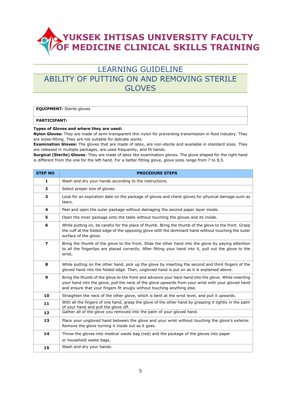#### LEARNING GUIDELINE ABILITY OF PUTTING ON AND REMOVING STERILE GLOVES

#### **EQUIPMENT:** Sterile gloves

#### **PARTICIPANT:**

#### **Types of Gloves and where they are used:**

**Nylon Gloves:** They are made of semi-transparent thin nylon for preventing transmission in food industry. They are loose-fitting. They are not suitable for delicate works.

**Examination Gloves:** The gloves that are made of latex, are non-sterile and available in standard sizes. They are released in multiple packages, are used frequently, and fit hands.

**Surgical (Sterile) Gloves**: They are made of latex like examination gloves. The glove shaped for the right hand is different from the one for the left hand. For a better fitting glove, glove sizes range from 7 to 8,5.

| <b>STEP NO</b>          | <b>PROCEDURE STEPS</b>                                                                                                                                                                                                                                                                |
|-------------------------|---------------------------------------------------------------------------------------------------------------------------------------------------------------------------------------------------------------------------------------------------------------------------------------|
| 1                       | Wash and dry your hands according to the instructions.                                                                                                                                                                                                                                |
| $\overline{2}$          | Select proper size of gloves.                                                                                                                                                                                                                                                         |
| 3                       | Look for an expiration date on the package of gloves and check gloves for physical damage such as<br>tears.                                                                                                                                                                           |
| 4                       | Peel and open the outer package without damaging the second paper layer inside.                                                                                                                                                                                                       |
| 5                       | Open the inner package onto the table without touching the gloves and its inside.                                                                                                                                                                                                     |
| 6                       | While putting on, be careful for the place of thumb. Bring the thumb of the glove to the front. Grasp<br>the cuff at the folded edge of the opposing glove with the dominant hand without touching the outer<br>surface of the glove.                                                 |
| $\overline{\mathbf{z}}$ | Bring the thumb of the glove to the front. Slide the other hand into the glove by paying attention<br>to all the fingertips are placed correctly. After fitting your hand into it, pull out the glove to the<br>wrist.                                                                |
| 8                       | While putting on the other hand, pick up the glove by inserting the second and third fingers of the<br>gloved hand into the folded edge. Then, ungloved hand is put on as it is explained above.                                                                                      |
| 9                       | Bring the thumb of the glove to the front and advance your bare hand into the glove. While inserting<br>your hand into the glove, pull the neck of the glove upwards from your wrist with your gloved hand<br>and ensure that your fingers fit snugly without touching anything else. |
| 10                      | Straighten the neck of the other glove, which is bent at the wrist level, and pull it upwards.                                                                                                                                                                                        |
| 11                      | With all the fingers of one hand, grasp the glove of the other hand by grasping it tightly in the palm<br>of your hand and pull the glove off.                                                                                                                                        |
| 12                      | Gather all of the glove you removed into the palm of your gloved hand.                                                                                                                                                                                                                |
| 13                      | Place your ungloved hand between the glove and your wrist without touching the glove's exterior.<br>Remove the glove turning it inside out as it goes.                                                                                                                                |
| 14                      | Throw the gloves into medical waste bag (red) and the package of the gloves into paper<br>or household waste bags.                                                                                                                                                                    |
| 15                      | Wash and dry your hands.                                                                                                                                                                                                                                                              |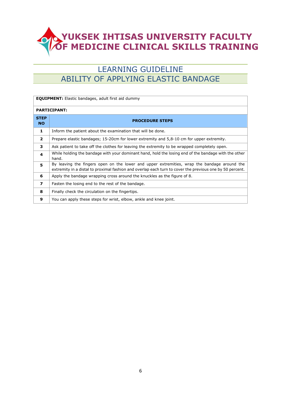## LEARNING GUIDELINE ABILITY OF APPLYING ELASTIC BANDAGE

| <b>EQUIPMENT:</b> Elastic bandages, adult first aid dummy |                                                                                                                                                                                                         |
|-----------------------------------------------------------|---------------------------------------------------------------------------------------------------------------------------------------------------------------------------------------------------------|
| <b>PARTICIPANT:</b>                                       |                                                                                                                                                                                                         |
| <b>STEP</b><br><b>NO</b>                                  | <b>PROCEDURE STEPS</b>                                                                                                                                                                                  |
| 1                                                         | Inform the patient about the examination that will be done.                                                                                                                                             |
| $\overline{2}$                                            | Prepare elastic bandages; 15-20cm for lower extremity and 5,8-10 cm for upper extremity.                                                                                                                |
| 3                                                         | Ask patient to take off the clothes for leaving the extremity to be wrapped completely open.                                                                                                            |
| 4                                                         | While holding the bandage with your dominant hand, hold the losing end of the bandage with the other<br>hand.                                                                                           |
| 5.                                                        | By leaving the fingers open on the lower and upper extremities, wrap the bandage around the<br>extremity in a distal to proximal fashion and overlap each turn to cover the previous one by 50 percent. |
| 6                                                         | Apply the bandage wrapping cross around the knuckles as the figure of 8.                                                                                                                                |
| $\overline{\phantom{a}}$                                  | Fasten the losing end to the rest of the bandage.                                                                                                                                                       |
| 8                                                         | Finally check the circulation on the fingertips.                                                                                                                                                        |
| 9                                                         | You can apply these steps for wrist, elbow, ankle and knee joint.                                                                                                                                       |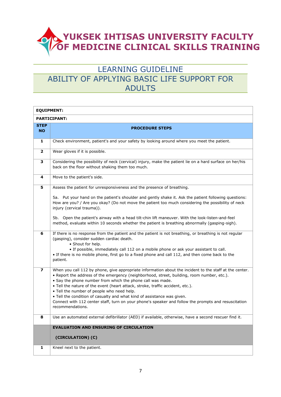### LEARNING GUIDELINE ABILITY OF APPLYING BASIC LIFE SUPPORT FOR ADULTS

| <b>EQUIPMENT:</b>        |                                                                                                                                                                                                                                                                                                                                                                                                                                                                                                                                                                                                            |  |
|--------------------------|------------------------------------------------------------------------------------------------------------------------------------------------------------------------------------------------------------------------------------------------------------------------------------------------------------------------------------------------------------------------------------------------------------------------------------------------------------------------------------------------------------------------------------------------------------------------------------------------------------|--|
|                          | <b>PARTICIPANT:</b>                                                                                                                                                                                                                                                                                                                                                                                                                                                                                                                                                                                        |  |
| <b>STEP</b><br><b>NO</b> | <b>PROCEDURE STEPS</b>                                                                                                                                                                                                                                                                                                                                                                                                                                                                                                                                                                                     |  |
| 1                        | Check environment, patient's and your safety by looking around where you meet the patient.                                                                                                                                                                                                                                                                                                                                                                                                                                                                                                                 |  |
| $\mathbf{2}$             | Wear gloves if it is possible.                                                                                                                                                                                                                                                                                                                                                                                                                                                                                                                                                                             |  |
| 3                        | Considering the possibility of neck (cervical) injury, make the patient lie on a hard surface on her/his<br>back on the floor without shaking them too much.                                                                                                                                                                                                                                                                                                                                                                                                                                               |  |
| 4                        | Move to the patient's side.                                                                                                                                                                                                                                                                                                                                                                                                                                                                                                                                                                                |  |
| 5                        | Assess the patient for unresponsiveness and the presence of breathing.                                                                                                                                                                                                                                                                                                                                                                                                                                                                                                                                     |  |
|                          | 5a. Put your hand on the patient's shoulder and gently shake it. Ask the patient following questions:<br>How are you? / Are you okay? (Do not move the patient too much considering the possibility of neck<br>injury (cervical trauma)).                                                                                                                                                                                                                                                                                                                                                                  |  |
|                          | 5b. Open the patient's airway with a head tilt-chin lift maneuver. With the look-listen-and-feel<br>method, evaluate within 10 seconds whether the patient is breathing abnormally (gasping-sigh).                                                                                                                                                                                                                                                                                                                                                                                                         |  |
| 6                        | If there is no response from the patient and the patient is not breathing, or breathing is not regular<br>(gasping), consider sudden cardiac death.<br>• Shout for help.<br>. If possible, immediately call 112 on a mobile phone or ask your assistant to call.<br>. If there is no mobile phone, first go to a fixed phone and call 112, and then come back to the<br>patient.                                                                                                                                                                                                                           |  |
| 7                        | When you call 112 by phone, give appropriate information about the incident to the staff at the center.<br>. Report the address of the emergency (neighborhood, street, building, room number, etc.).<br>• Say the phone number from which the phone call was made.<br>. Tell the nature of the event (heart attack, stroke, traffic accident, etc.).<br>. Tell the number of people who need help.<br>. Tell the condition of casualty and what kind of assistance was given.<br>Connect with 112 center staff, turn on your phone's speaker and follow the prompts and resuscitation<br>recommendations. |  |
| 8                        | Use an automated external defibrillator (AED) if available, otherwise, have a second rescuer find it.                                                                                                                                                                                                                                                                                                                                                                                                                                                                                                      |  |
|                          | <b>EVALUATION AND ENSURING OF CIRCULATION</b>                                                                                                                                                                                                                                                                                                                                                                                                                                                                                                                                                              |  |
|                          | (CIRCULATION) (C)                                                                                                                                                                                                                                                                                                                                                                                                                                                                                                                                                                                          |  |
| 1                        | Kneel next to the patient.                                                                                                                                                                                                                                                                                                                                                                                                                                                                                                                                                                                 |  |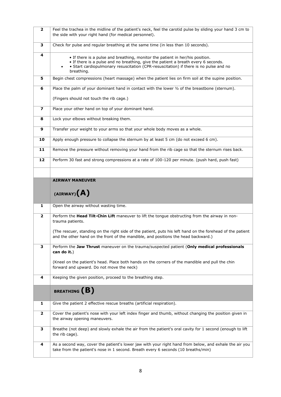| $\mathbf{2}$            | Feel the trachea in the midline of the patient's neck, feel the carotid pulse by sliding your hand 3 cm to<br>the side with your right hand (for medical personnel).                                                                                                       |
|-------------------------|----------------------------------------------------------------------------------------------------------------------------------------------------------------------------------------------------------------------------------------------------------------------------|
| 3                       | Check for pulse and regular breathing at the same time (in less than 10 seconds).                                                                                                                                                                                          |
| 4                       | • If there is a pulse and breathing, monitor the patient in her/his position.<br>. If there is a pulse and no breathing, give the patient a breath every 6 seconds.<br>• Start cardiopulmonary resuscitation (CPR-resuscitation) if there is no pulse and no<br>breathing. |
| 5                       | Begin chest compressions (heart massage) when the patient lies on firm soil at the supine position.                                                                                                                                                                        |
| 6                       | Place the palm of your dominant hand in contact with the lower $\frac{1}{2}$ of the breastbone (sternum).                                                                                                                                                                  |
|                         | (Fingers should not touch the rib cage.)                                                                                                                                                                                                                                   |
| 7                       | Place your other hand on top of your dominant hand.                                                                                                                                                                                                                        |
| 8                       | Lock your elbows without breaking them.                                                                                                                                                                                                                                    |
| 9                       | Transfer your weight to your arms so that your whole body moves as a whole.                                                                                                                                                                                                |
| 10                      | Apply enough pressure to collapse the sternum by at least 5 cm (do not exceed 6 cm).                                                                                                                                                                                       |
| 11                      | Remove the pressure without removing your hand from the rib cage so that the sternum rises back.                                                                                                                                                                           |
| 12                      | Perform 30 fast and strong compressions at a rate of 100-120 per minute. (push hard, push fast)                                                                                                                                                                            |
|                         |                                                                                                                                                                                                                                                                            |
|                         | <b>AIRWAY MANEUVER</b>                                                                                                                                                                                                                                                     |
|                         | $(AIRWAY)$ $(A)$                                                                                                                                                                                                                                                           |
|                         |                                                                                                                                                                                                                                                                            |
| 1                       | Open the airway without wasting time.                                                                                                                                                                                                                                      |
| $\mathbf{2}$            | Perform the Head Tilt-Chin Lift maneuver to lift the tongue obstructing from the airway in non-<br>trauma patients.                                                                                                                                                        |
|                         | (The rescuer, standing on the right side of the patient, puts his left hand on the forehead of the patient<br>and the other hand on the front of the mandible, and positions the head backward.)                                                                           |
| 3                       | Perform the Jaw Thrust maneuver on the trauma/suspected patient (Only medical professionals<br>can do it.)                                                                                                                                                                 |
|                         | (Kneel on the patient's head. Place both hands on the corners of the mandible and pull the chin<br>forward and upward. Do not move the neck)                                                                                                                               |
| 4                       | Keeping the given position, proceed to the breathing step.                                                                                                                                                                                                                 |
|                         | BREATHING (B)                                                                                                                                                                                                                                                              |
| 1                       | Give the patient 2 effective rescue breaths (artificial respiration).                                                                                                                                                                                                      |
| $\overline{\mathbf{2}}$ | Cover the patient's nose with your left index finger and thumb, without changing the position given in<br>the airway opening maneuvers.                                                                                                                                    |
| 3                       | Breathe (not deep) and slowly exhale the air from the patient's oral cavity for 1 second (enough to lift<br>the rib cage).                                                                                                                                                 |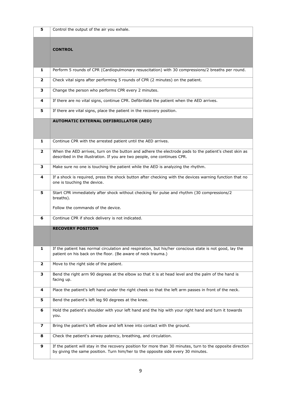| 5                       | Control the output of the air you exhale.                                                                                                                                                      |
|-------------------------|------------------------------------------------------------------------------------------------------------------------------------------------------------------------------------------------|
|                         | <b>CONTROL</b>                                                                                                                                                                                 |
| 1                       | Perform 5 rounds of CPR (Cardiopulmonary resuscitation) with 30 compressions/2 breaths per round.                                                                                              |
| $\mathbf{2}$            | Check vital signs after performing 5 rounds of CPR (2 minutes) on the patient.                                                                                                                 |
| 3                       | Change the person who performs CPR every 2 minutes.                                                                                                                                            |
| 4                       | If there are no vital signs, continue CPR. Defibrillate the patient when the AED arrives.                                                                                                      |
| 5                       | If there are vital signs, place the patient in the recovery position.                                                                                                                          |
|                         | <b>AUTOMATIC EXTERNAL DEFIBRILLATOR (AED)</b>                                                                                                                                                  |
| 1                       | Continue CPR with the arrested patient until the AED arrives.                                                                                                                                  |
| $\overline{2}$          | When the AED arrives, turn on the button and adhere the electrode pads to the patient's chest skin as<br>described in the illustration. If you are two people, one continues CPR.              |
| 3                       | Make sure no one is touching the patient while the AED is analyzing the rhythm.                                                                                                                |
| 4                       | If a shock is required, press the shock button after checking with the devices warning function that no<br>one is touching the device.                                                         |
| 5                       | Start CPR immediately after shock without checking for pulse and rhythm (30 compressions/2<br>breaths).                                                                                        |
|                         | Follow the commands of the device.                                                                                                                                                             |
| 6                       | Continue CPR if shock delivery is not indicated.                                                                                                                                               |
|                         | <b>RECOVERY POSITION</b>                                                                                                                                                                       |
| 1                       | If the patient has normal circulation and respiration, but his/her conscious state is not good, lay the<br>patient on his back on the floor. (Be aware of neck trauma.)                        |
| $\overline{\mathbf{2}}$ | Move to the right side of the patient.                                                                                                                                                         |
| 3                       | Bend the right arm 90 degrees at the elbow so that it is at head level and the palm of the hand is<br>facing up.                                                                               |
| 4                       | Place the patient's left hand under the right cheek so that the left arm passes in front of the neck.                                                                                          |
| 5                       | Bend the patient's left leg 90 degrees at the knee.                                                                                                                                            |
| 6                       | Hold the patient's shoulder with your left hand and the hip with your right hand and turn it towards<br>you.                                                                                   |
| $\overline{\mathbf{z}}$ | Bring the patient's left elbow and left knee into contact with the ground.                                                                                                                     |
| 8                       | Check the patient's airway patency, breathing, and circulation.                                                                                                                                |
| 9                       | If the patient will stay in the recovery position for more than 30 minutes, turn to the opposite direction<br>by giving the same position. Turn him/her to the opposite side every 30 minutes. |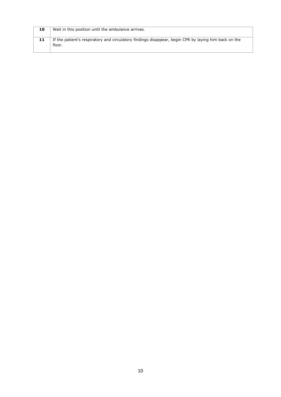| 10 | Wait in this position until the ambulance arrives.                                                             |
|----|----------------------------------------------------------------------------------------------------------------|
| 11 | If the patient's respiratory and circulatory findings disappear, begin CPR by laying him back on the<br>floor. |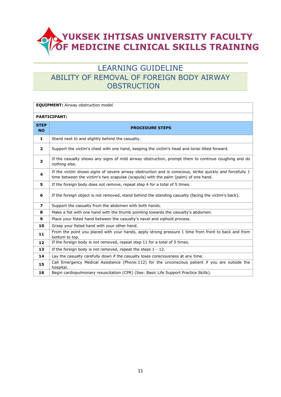#### LEARNING GUIDELINE ABILITY OF REMOVAL OF FOREIGN BODY AIRWAY **OBSTRUCTION**

| <b>EQUIPMENT:</b> Airway obstruction model |                                                                                                                                                                                                |  |
|--------------------------------------------|------------------------------------------------------------------------------------------------------------------------------------------------------------------------------------------------|--|
|                                            | <b>PARTICIPANT:</b>                                                                                                                                                                            |  |
| <b>STEP</b><br><b>NO</b>                   | <b>PROCEDURE STEPS</b>                                                                                                                                                                         |  |
| $\mathbf{1}$                               | Stand next to and slightly behind the casualty.                                                                                                                                                |  |
| $\overline{\mathbf{2}}$                    | Support the victim's chest with one hand, keeping the victim's head and torso tilted forward.                                                                                                  |  |
| 3                                          | If the casualty shows any signs of mild airway obstruction, prompt them to continue coughing and do<br>nothing else.                                                                           |  |
| 4                                          | If the victim shows signs of severe airway obstruction and is conscious, strike quickly and forcefully 1<br>time between the victim's two scapulae (scapula) with the palm (palm) of one hand. |  |
| 5                                          | If the foreign body does not remove, repeat step 4 for a total of 5 times.                                                                                                                     |  |
| 6                                          | If the foreign object is not removed, stand behind the standing casualty (facing the victim's back).                                                                                           |  |
| $\overline{ }$                             | Support the casualty from the abdomen with both hands.                                                                                                                                         |  |
| 8                                          | Make a fist with one hand with the thumb pointing towards the casualty's abdomen.                                                                                                              |  |
| 9                                          | Place your fisted hand between the casualty's navel and xiphoid process.                                                                                                                       |  |
| 10                                         | Grasp your fisted hand with your other hand.                                                                                                                                                   |  |
| 11                                         | From the point you placed with your hands, apply strong pressure 1 time from front to back and from<br>bottom to top.                                                                          |  |
| 12                                         | If the foreign body is not removed, repeat step 11 for a total of 5 times.                                                                                                                     |  |
| 13                                         | If the foreign body is not removed, repeat the steps $1 - 12$ .                                                                                                                                |  |
| 14                                         | Lay the casualty carefully down if the casualty loses consciousness at any time.                                                                                                               |  |
| 15                                         | Call Emergency Medical Assistance (Phone:112) for the unconscious patient if you are outside the<br>hospital.                                                                                  |  |
| 16                                         | Begin cardiopulmonary resuscitation (CPR) (See: Basic Life Support Practice Skills).                                                                                                           |  |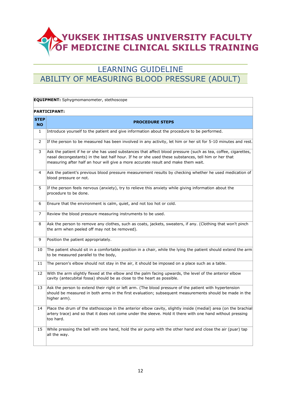## LEARNING GUIDELINE ABILITY OF MEASURING BLOOD PRESSURE (ADULT)

|                           | <b>EQUIPMENT:</b> Sphygmomanometer, stethoscope                                                                                                                                                                                                                                                            |
|---------------------------|------------------------------------------------------------------------------------------------------------------------------------------------------------------------------------------------------------------------------------------------------------------------------------------------------------|
|                           | <b>PARTICIPANT:</b>                                                                                                                                                                                                                                                                                        |
| <b>STEP</b><br><b>NO</b>  | <b>PROCEDURE STEPS</b>                                                                                                                                                                                                                                                                                     |
| 1                         | Introduce yourself to the patient and give information about the procedure to be performed.                                                                                                                                                                                                                |
| $\mathsf{2}^{\mathsf{1}}$ | If the person to be measured has been involved in any activity, let him or her sit for 5-10 minutes and rest.                                                                                                                                                                                              |
| 3                         | Ask the patient if he or she has used substances that affect blood pressure (such as tea, coffee, cigarettes,<br>nasal decongestants) in the last half hour. If he or she used these substances, tell him or her that<br>measuring after half an hour will give a more accurate result and make them wait. |
| 4                         | Ask the patient's previous blood pressure measurement results by checking whether he used medication of<br>blood pressure or not.                                                                                                                                                                          |
| 5                         | If the person feels nervous (anxiety), try to relieve this anxiety while giving information about the<br>procedure to be done.                                                                                                                                                                             |
| 6                         | Ensure that the environment is calm, quiet, and not too hot or cold.                                                                                                                                                                                                                                       |
| 7                         | Review the blood pressure measuring instruments to be used.                                                                                                                                                                                                                                                |
| 8                         | Ask the person to remove any clothes, such as coats, jackets, sweaters, if any. (Clothing that won't pinch<br>the arm when peeled off may not be removed).                                                                                                                                                 |
| 9                         | Position the patient appropriately.                                                                                                                                                                                                                                                                        |
| 10                        | The patient should sit in a comfortable position in a chair, while the lying the patient should extend the arm<br>to be measured parallel to the body,                                                                                                                                                     |
| 11                        | The person's elbow should not stay in the air, it should be imposed on a place such as a table.                                                                                                                                                                                                            |
| 12                        | With the arm slightly flexed at the elbow and the palm facing upwards, the level of the anterior elbow<br>cavity (antecubital fossa) should be as close to the heart as possible.                                                                                                                          |
| 13                        | Ask the person to extend their right or left arm. (The blood pressure of the patient with hypertension<br>should be measured in both arms in the first evaluation; subsequent measurements should be made in the<br>higher arm).                                                                           |
|                           | 14   Place the drum of the stethoscope in the anterior elbow cavity, slightly inside (medial) area (on the brachial<br>artery trace) and so that it does not come under the sleeve. Hold it there with one hand without pressing<br>too hard.                                                              |
| 15                        | While pressing the bell with one hand, hold the air pump with the other hand and close the air (puar) tap<br>all the way.                                                                                                                                                                                  |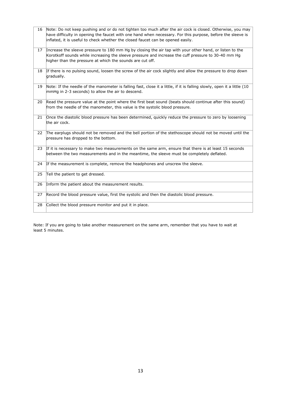| 16 | Note: Do not keep pushing and or do not tighten too much after the air cock is closed. Otherwise, you may<br>have difficulty in opening the faucet with one hand when necessary. For this purpose, before the sleeve is<br>inflated, it is useful to check whether the closed faucet can be opened easily. |
|----|------------------------------------------------------------------------------------------------------------------------------------------------------------------------------------------------------------------------------------------------------------------------------------------------------------|
|    | 17 Increase the sleeve pressure to 180 mm Hg by closing the air tap with your other hand, or listen to the<br>Korotkoff sounds while increasing the sleeve pressure and increase the cuff pressure to 30-40 mm Hg<br>higher than the pressure at which the sounds are cut off.                             |
| 18 | If there is no pulsing sound, loosen the screw of the air cock slightly and allow the pressure to drop down<br>gradually.                                                                                                                                                                                  |
| 19 | Note: If the needle of the manometer is falling fast, close it a little, if it is falling slowly, open it a little (10<br>mmHg in 2-3 seconds) to allow the air to descend.                                                                                                                                |
| 20 | Read the pressure value at the point where the first beat sound (beats should continue after this sound)<br>from the needle of the manometer, this value is the systolic blood pressure.                                                                                                                   |
| 21 | Once the diastolic blood pressure has been determined, quickly reduce the pressure to zero by loosening<br>the air cock.                                                                                                                                                                                   |
| 22 | The earplugs should not be removed and the bell portion of the stethoscope should not be moved until the<br>pressure has dropped to the bottom.                                                                                                                                                            |
| 23 | If it is necessary to make two measurements on the same arm, ensure that there is at least 15 seconds<br>between the two measurements and in the meantime, the sleeve must be completely deflated.                                                                                                         |
| 24 | If the measurement is complete, remove the headphones and unscrew the sleeve.                                                                                                                                                                                                                              |
| 25 | Tell the patient to get dressed.                                                                                                                                                                                                                                                                           |
| 26 | Inform the patient about the measurement results.                                                                                                                                                                                                                                                          |
| 27 | Record the blood pressure value, first the systolic and then the diastolic blood pressure.                                                                                                                                                                                                                 |
| 28 | Collect the blood pressure monitor and put it in place.                                                                                                                                                                                                                                                    |

Note: If you are going to take another measurement on the same arm, remember that you have to wait at least 5 minutes.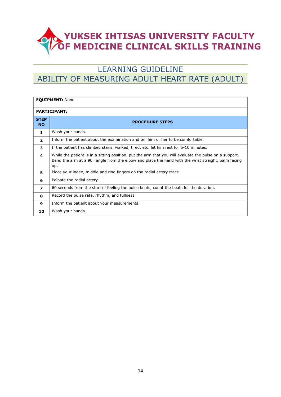## LEARNING GUIDELINE ABILITY OF MEASURING ADULT HEART RATE (ADULT)

| <b>EQUIPMENT: None</b>   |                                                                                                                                                                                                                     |
|--------------------------|---------------------------------------------------------------------------------------------------------------------------------------------------------------------------------------------------------------------|
| <b>PARTICIPANT:</b>      |                                                                                                                                                                                                                     |
| <b>STEP</b><br><b>NO</b> | <b>PROCEDURE STEPS</b>                                                                                                                                                                                              |
| 1                        | Wash your hands.                                                                                                                                                                                                    |
| $\overline{2}$           | Inform the patient about the examination and tell him or her to be comfortable.                                                                                                                                     |
| 3                        | If the patient has climbed stairs, walked, tired, etc. let him rest for 5-10 minutes.                                                                                                                               |
| 4                        | While the patient is in a sitting position, put the arm that you will evaluate the pulse on a support.<br>Bend the arm at a 90° angle from the elbow and place the hand with the wrist straight, palm facing<br>up. |
| 5                        | Place your index, middle and ring fingers on the radial artery trace.                                                                                                                                               |
| 6                        | Palpate the radial artery.                                                                                                                                                                                          |
| 7                        | 60 seconds from the start of feeling the pulse beats, count the beats for the duration.                                                                                                                             |
| 8                        | Record the pulse rate, rhythm, and fullness.                                                                                                                                                                        |
| 9                        | Inform the patient about your measurements.                                                                                                                                                                         |
| 10                       | Wash your hands.                                                                                                                                                                                                    |